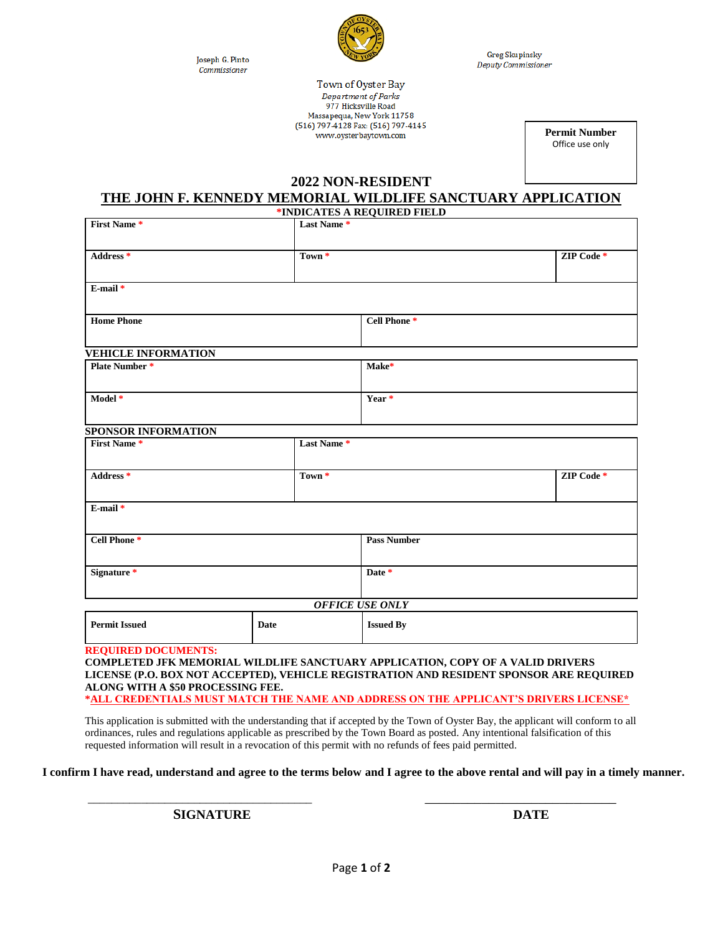Joseph G. Pinto Commissioner



**Greg Skupinsky** Deputy Commissioner

Town of Oyster Bay Department of Parks 977 Hicksville Road Massapequa, New York 11758 (516) 797-4128 Fax: (516) 797-4145 www.oysterbaytown.com

**Permit Number** Office use only

### **2022 NON-RESIDENT**

### **THE JOHN F. KENNEDY MEMORIAL WILDLIFE SANCTUARY APPLICATION**

|                                                                 |                   |                   | *INDICATES A REQUIRED FIELD                                                                                                                                               |            |
|-----------------------------------------------------------------|-------------------|-------------------|---------------------------------------------------------------------------------------------------------------------------------------------------------------------------|------------|
| <b>First Name *</b>                                             |                   | Last Name*        |                                                                                                                                                                           |            |
| Address <sup>*</sup>                                            |                   | Town <sup>*</sup> |                                                                                                                                                                           | ZIP Code * |
| $E$ -mail $*$                                                   |                   |                   |                                                                                                                                                                           |            |
| <b>Home Phone</b>                                               |                   |                   | Cell Phone <sup>*</sup>                                                                                                                                                   |            |
| <b>VEHICLE INFORMATION</b>                                      |                   |                   |                                                                                                                                                                           |            |
| <b>Plate Number*</b>                                            |                   |                   | Make*                                                                                                                                                                     |            |
| Model *                                                         |                   |                   | Year *                                                                                                                                                                    |            |
| SPONSOR INFORMATION                                             |                   |                   |                                                                                                                                                                           |            |
| <b>First Name *</b>                                             |                   | Last Name*        |                                                                                                                                                                           |            |
| Address <sup>*</sup>                                            | Town <sup>*</sup> |                   |                                                                                                                                                                           | ZIP Code * |
| E-mail*                                                         |                   |                   |                                                                                                                                                                           |            |
| Cell Phone*                                                     |                   |                   | <b>Pass Number</b>                                                                                                                                                        |            |
| Signature <sup>*</sup>                                          |                   |                   | Date *                                                                                                                                                                    |            |
|                                                                 |                   |                   | <b>OFFICE USE ONLY</b>                                                                                                                                                    |            |
| <b>Permit Issued</b>                                            | Date              |                   | <b>Issued By</b>                                                                                                                                                          |            |
| <b>REQUIRED DOCUMENTS:</b><br>ALONG WITH A \$50 PROCESSING FEE. |                   |                   | COMPLETED JFK MEMORIAL WILDLIFE SANCTUARY APPLICATION, COPY OF A VALID DRIVERS<br>LICENSE (P.O. BOX NOT ACCEPTED), VEHICLE REGISTRATION AND RESIDENT SPONSOR ARE REQUIRED |            |

**\*ALL CREDENTIALS MUST MATCH THE NAME AND ADDRESS ON THE APPLICANT'S DRIVERS LICENSE\***

This application is submitted with the understanding that if accepted by the Town of Oyster Bay, the applicant will conform to all ordinances, rules and regulations applicable as prescribed by the Town Board as posted. Any intentional falsification of this requested information will result in a revocation of this permit with no refunds of fees paid permitted.

**I confirm I have read, understand and agree to the terms below and I agree to the above rental and will pay in a timely manner.**

\_\_\_\_\_\_\_\_\_\_\_\_\_\_\_\_\_\_\_\_\_\_\_\_\_\_\_\_\_\_\_\_\_\_\_\_\_\_ \_\_\_\_\_\_\_\_\_\_\_\_\_\_\_\_\_\_\_\_\_\_\_\_\_\_\_

**SIGNATURE DATE**